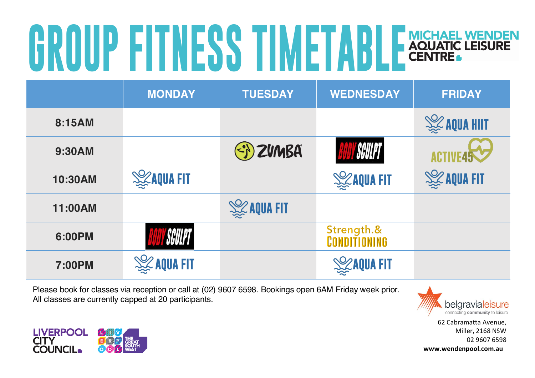## **GROUP FITNESS TIMETABLE** AQUATIC LEISURE

|         | <b>MONDAY</b>       | <b>TUESDAY</b>      | <b>WEDNESDAY</b>           | <b>FRIDAY</b>        |
|---------|---------------------|---------------------|----------------------------|----------------------|
| 8:15AM  |                     |                     |                            | <b>SEE AQUA HIIT</b> |
| 9:30AM  |                     | SI) ZVMBA           | <b><i>SCULPT</i></b>       |                      |
| 10:30AM | <b>SEAQUA FIT</b>   |                     | <b>SEXAQUA FIT</b>         | <b>SEE AQUA FIT</b>  |
| 11:00AM |                     | <b>SEE AQUA FIT</b> |                            |                      |
| 6:00PM  | SCULPT              |                     | Strength.&<br>CONDITIONING |                      |
| 7:00PM  | <b>SEE AQUA FIT</b> |                     | <b>SEXAQUA FIT</b>         |                      |

Please book for classes via reception or call at (02) 9607 6598. Bookings open 6AM Friday week prior. All classes are currently capped at 20 participants.



62 Cabramatta Avenue, Miller, 2168 NSW 02 9607 6598 **www.wendenpool.com.au**